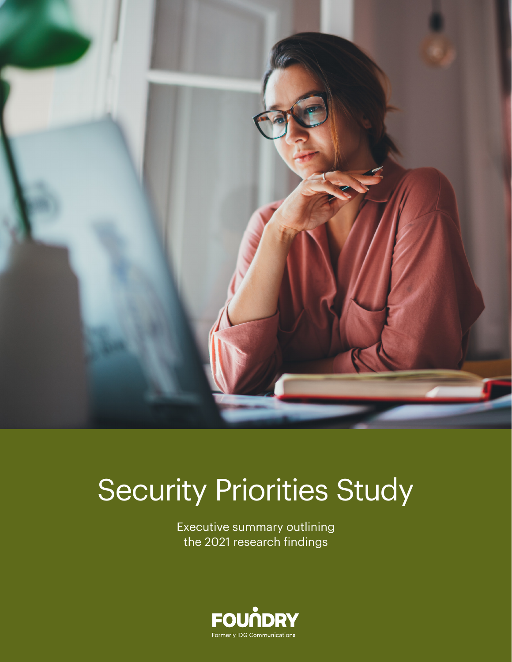

# Security Priorities Study

Executive summary outlining the 2021 research findings

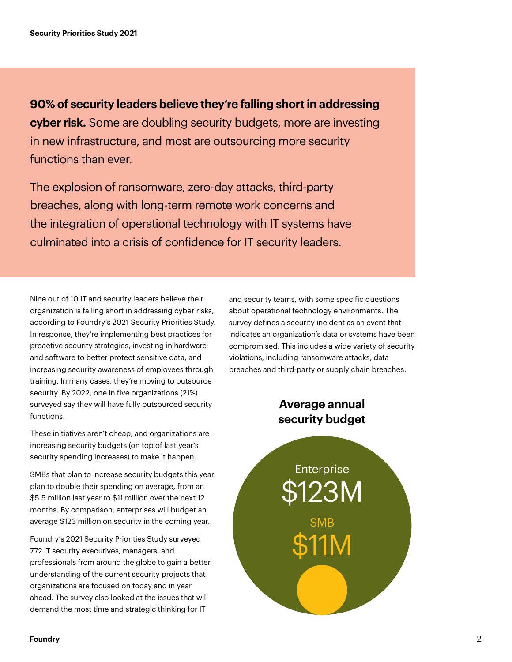**90% of security leaders believe they're falling short in addressing cyber risk.** Some are doubling security budgets, more are investing in new infrastructure, and most are outsourcing more security functions than ever.

The explosion of ransomware, zero-day attacks, third-party breaches, along with long-term remote work concerns and the integration of operational technology with IT systems have culminated into a crisis of confidence for IT security leaders.

Nine out of 10 IT and security leaders believe their organization is falling short in addressing cyber risks, according to Foundry's 2021 Security Priorities Study. In response, they're implementing best practices for proactive security strategies, investing in hardware and software to better protect sensitive data, and increasing security awareness of employees through training. In many cases, they're moving to outsource security. By 2022, one in five organizations (21%) surveyed say they will have fully outsourced security functions.

These initiatives aren't cheap, and organizations are increasing security budgets (on top of last year's security spending increases) to make it happen.

SMBs that plan to increase security budgets this year plan to double their spending on average, from an \$5.5 million last year to \$11 million over the next 12 months. By comparison, enterprises will budget an average \$123 million on security in the coming year.

Foundry's 2021 Security Priorities Study surveyed 772 IT security executives, managers, and professionals from around the globe to gain a better understanding of the current security projects that organizations are focused on today and in year ahead. The survey also looked at the issues that will demand the most time and strategic thinking for IT

and security teams, with some specific questions about operational technology environments. The survey defines a security incident as an event that indicates an organization's data or systems have been compromised. This includes a wide variety of security violations, including ransomware attacks, data breaches and third-party or supply chain breaches.

### **Average annual security budget**

**Enterprise** \$123M SMB \$11M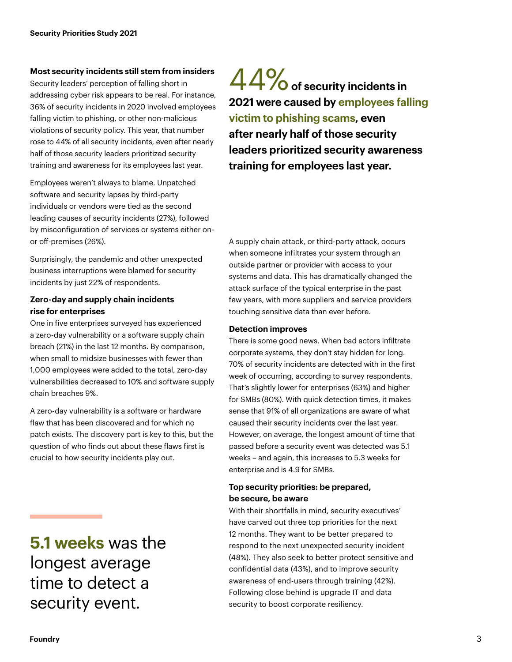#### **Most security incidents still stem from insiders**

Security leaders' perception of falling short in addressing cyber risk appears to be real. For instance, 36% of security incidents in 2020 involved employees falling victim to phishing, or other non-malicious violations of security policy. This year, that number rose to 44% of all security incidents, even after nearly half of those security leaders prioritized security training and awareness for its employees last year.

Employees weren't always to blame. Unpatched software and security lapses by third-party individuals or vendors were tied as the second leading causes of security incidents (27%), followed by misconfiguration of services or systems either onor off-premises (26%).

Surprisingly, the pandemic and other unexpected business interruptions were blamed for security incidents by just 22% of respondents.

### **Zero-day and supply chain incidents rise for enterprises**

One in five enterprises surveyed has experienced a zero-day vulnerability or a software supply chain breach (21%) in the last 12 months. By comparison, when small to midsize businesses with fewer than 1,000 employees were added to the total, zero-day vulnerabilities decreased to 10% and software supply chain breaches 9%.

A zero-day vulnerability is a software or hardware flaw that has been discovered and for which no patch exists. The discovery part is key to this, but the question of who finds out about these flaws first is crucial to how security incidents play out.

### **5.1 weeks** was the longest average time to detect a security event.

44% **of security incidents in 2021 were caused by employees falling victim to phishing scams, even after nearly half of those security leaders prioritized security awareness training for employees last year.**

A supply chain attack, or third-party attack, occurs when someone infiltrates your system through an outside partner or provider with access to your systems and data. This has dramatically changed the attack surface of the typical enterprise in the past few years, with more suppliers and service providers touching sensitive data than ever before.

### **Detection improves**

There is some good news. When bad actors infiltrate corporate systems, they don't stay hidden for long. 70% of security incidents are detected with in the first week of occurring, according to survey respondents. That's slightly lower for enterprises (63%) and higher for SMBs (80%). With quick detection times, it makes sense that 91% of all organizations are aware of what caused their security incidents over the last year. However, on average, the longest amount of time that passed before a security event was detected was 5.1 weeks – and again, this increases to 5.3 weeks for enterprise and is 4.9 for SMBs.

### **Top security priorities: be prepared, be secure, be aware**

With their shortfalls in mind, security executives' have carved out three top priorities for the next 12 months. They want to be better prepared to respond to the next unexpected security incident (48%). They also seek to better protect sensitive and confidential data (43%), and to improve security awareness of end-users through training (42%). Following close behind is upgrade IT and data security to boost corporate resiliency.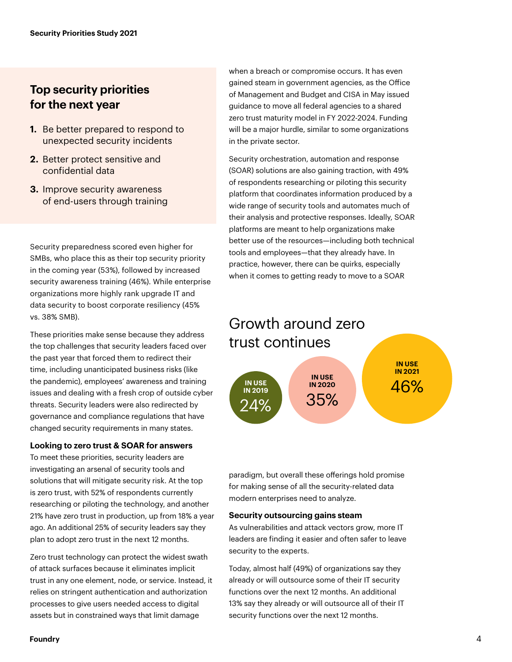### **Top security priorities for the next year**

- **1.** Be better prepared to respond to unexpected security incidents
- **2.** Better protect sensitive and confidential data
- **3.** Improve security awareness of end-users through training

Security preparedness scored even higher for SMBs, who place this as their top security priority in the coming year (53%), followed by increased security awareness training (46%). While enterprise organizations more highly rank upgrade IT and data security to boost corporate resiliency (45% vs. 38% SMB).

These priorities make sense because they address the top challenges that security leaders faced over the past year that forced them to redirect their time, including unanticipated business risks (like the pandemic), employees' awareness and training issues and dealing with a fresh crop of outside cyber threats. Security leaders were also redirected by governance and compliance regulations that have changed security requirements in many states.

### **Looking to zero trust & SOAR for answers**

To meet these priorities, security leaders are investigating an arsenal of security tools and solutions that will mitigate security risk. At the top is zero trust, with 52% of respondents currently researching or piloting the technology, and another 21% have zero trust in production, up from 18% a year ago. An additional 25% of security leaders say they plan to adopt zero trust in the next 12 months.

Zero trust technology can protect the widest swath of attack surfaces because it eliminates implicit trust in any one element, node, or service. Instead, it relies on stringent authentication and authorization processes to give users needed access to digital assets but in constrained ways that limit damage

when a breach or compromise occurs. It has even gained steam in government agencies, as the Office of Management and Budget and CISA in May issued guidance to move all federal agencies to a shared zero trust maturity model in FY 2022-2024. Funding will be a major hurdle, similar to some organizations in the private sector.

Security orchestration, automation and response (SOAR) solutions are also gaining traction, with 49% of respondents researching or piloting this security platform that coordinates information produced by a wide range of security tools and automates much of their analysis and protective responses. Ideally, SOAR platforms are meant to help organizations make better use of the resources—including both technical tools and employees—that they already have. In practice, however, there can be quirks, especially when it comes to getting ready to move to a SOAR



paradigm, but overall these offerings hold promise for making sense of all the security-related data modern enterprises need to analyze.

#### **Security outsourcing gains steam**

As vulnerabilities and attack vectors grow, more IT leaders are finding it easier and often safer to leave security to the experts.

Today, almost half (49%) of organizations say they already or will outsource some of their IT security functions over the next 12 months. An additional 13% say they already or will outsource all of their IT security functions over the next 12 months.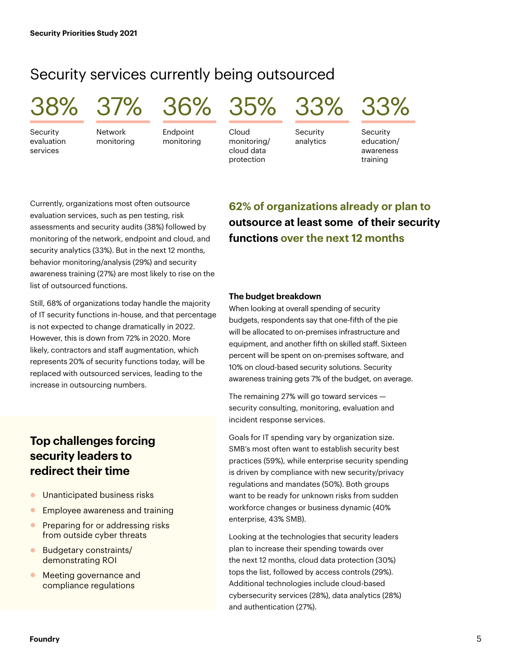### Security services currently being outsourced

**Security** evaluation services

**Network** monitoring

Endpoint monitoring

Cloud monitoring/ cloud data

protection

38% 37% 36% 35% 33% 33%

Security analytics



Security education/ awareness training

Currently, organizations most often outsource evaluation services, such as pen testing, risk assessments and security audits (38%) followed by monitoring of the network, endpoint and cloud, and security analytics (33%). But in the next 12 months, behavior monitoring/analysis (29%) and security awareness training (27%) are most likely to rise on the list of outsourced functions.

Still, 68% of organizations today handle the majority of IT security functions in-house, and that percentage is not expected to change dramatically in 2022. However, this is down from 72% in 2020. More likely, contractors and staff augmentation, which represents 20% of security functions today, will be replaced with outsourced services, leading to the increase in outsourcing numbers.

### **Top challenges forcing security leaders to redirect their time**

- **Inanticipated business risks**
- **•** Employee awareness and training
- **•** Preparing for or addressing risks from outside cyber threats
- **Budgetary constraints/** demonstrating ROI
- **Meeting governance and** compliance regulations

### **62% of organizations already or plan to outsource at least some of their security functions over the next 12 months**

#### **The budget breakdown**

When looking at overall spending of security budgets, respondents say that one-fifth of the pie will be allocated to on-premises infrastructure and equipment, and another fifth on skilled staff. Sixteen percent will be spent on on-premises software, and 10% on cloud-based security solutions. Security awareness training gets 7% of the budget, on average.

The remaining 27% will go toward services security consulting, monitoring, evaluation and incident response services.

Goals for IT spending vary by organization size. SMB's most often want to establish security best practices (59%), while enterprise security spending is driven by compliance with new security/privacy regulations and mandates (50%). Both groups want to be ready for unknown risks from sudden workforce changes or business dynamic (40% enterprise, 43% SMB).

Looking at the technologies that security leaders plan to increase their spending towards over the next 12 months, cloud data protection (30%) tops the list, followed by access controls (29%). Additional technologies include cloud-based cybersecurity services (28%), data analytics (28%) and authentication (27%).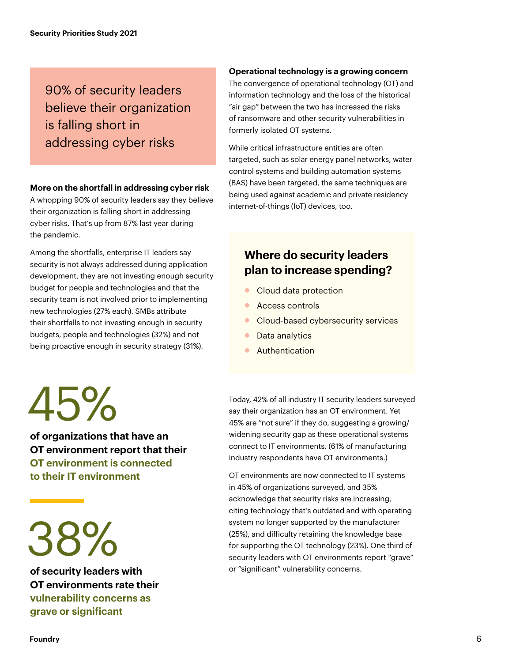### 90% of security leaders believe their organization is falling short in addressing cyber risks

#### **More on the shortfall in addressing cyber risk**

A whopping 90% of security leaders say they believe their organization is falling short in addressing cyber risks. That's up from 87% last year during the pandemic.

Among the shortfalls, enterprise IT leaders say security is not always addressed during application development, they are not investing enough security budget for people and technologies and that the security team is not involved prior to implementing new technologies (27% each). SMBs attribute their shortfalls to not investing enough in security budgets, people and technologies (32%) and not being proactive enough in security strategy (31%).

**Operational technology is a growing concern**

The convergence of operational technology (OT) and information technology and the loss of the historical "air gap" between the two has increased the risks of ransomware and other security vulnerabilities in formerly isolated OT systems.

While critical infrastructure entities are often targeted, such as solar energy panel networks, water control systems and building automation systems (BAS) have been targeted, the same techniques are being used against academic and private residency internet-of-things (IoT) devices, too.

### **Where do security leaders plan to increase spending?**

- **Cloud data protection**
- **C** Access controls
- Cloud-based cybersecurity services
- **Data analytics**
- **Authentication**

45%

**of organizations that have an OT environment report that their OT environment is connected to their IT environment** 

38%

**of security leaders with OT environments rate their vulnerability concerns as grave or significant** 

Today, 42% of all industry IT security leaders surveyed say their organization has an OT environment. Yet 45% are "not sure" if they do, suggesting a growing/ widening security gap as these operational systems connect to IT environments. (61% of manufacturing industry respondents have OT environments.)

OT environments are now connected to IT systems in 45% of organizations surveyed, and 35% acknowledge that security risks are increasing, citing technology that's outdated and with operating system no longer supported by the manufacturer (25%), and difficulty retaining the knowledge base for supporting the OT technology (23%). One third of security leaders with OT environments report "grave" or "significant" vulnerability concerns.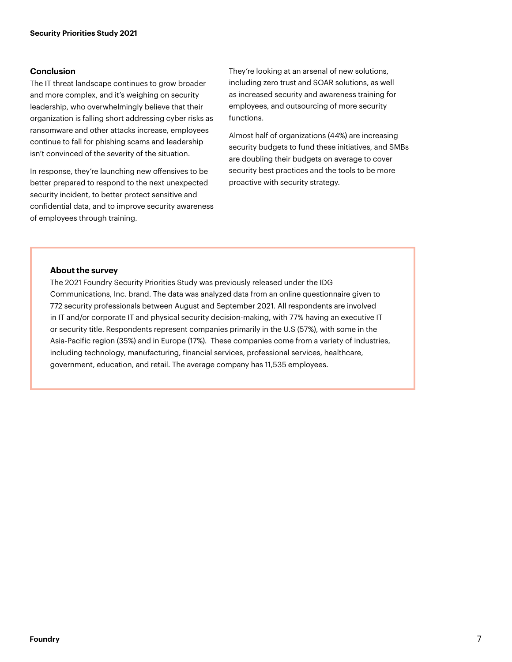#### **Conclusion**

The IT threat landscape continues to grow broader and more complex, and it's weighing on security leadership, who overwhelmingly believe that their organization is falling short addressing cyber risks as ransomware and other attacks increase, employees continue to fall for phishing scams and leadership isn't convinced of the severity of the situation.

In response, they're launching new offensives to be better prepared to respond to the next unexpected security incident, to better protect sensitive and confidential data, and to improve security awareness of employees through training.

They're looking at an arsenal of new solutions, including zero trust and SOAR solutions, as well as increased security and awareness training for employees, and outsourcing of more security functions.

Almost half of organizations (44%) are increasing security budgets to fund these initiatives, and SMBs are doubling their budgets on average to cover security best practices and the tools to be more proactive with security strategy.

#### **About the survey**

The 2021 Foundry Security Priorities Study was previously released under the IDG Communications, Inc. brand. The data was analyzed data from an online questionnaire given to 772 security professionals between August and September 2021. All respondents are involved in IT and/or corporate IT and physical security decision-making, with 77% having an executive IT or security title. Respondents represent companies primarily in the U.S (57%), with some in the Asia-Pacific region (35%) and in Europe (17%). These companies come from a variety of industries, including technology, manufacturing, financial services, professional services, healthcare, government, education, and retail. The average company has 11,535 employees.